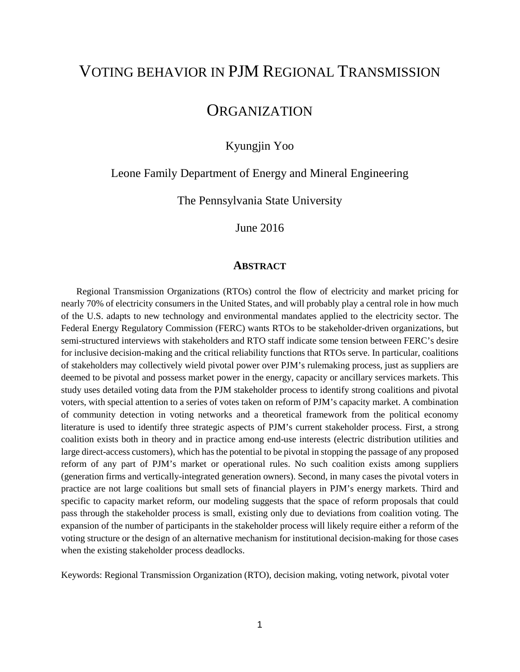# VOTING BEHAVIOR IN PJM REGIONAL TRANSMISSION

# **ORGANIZATION**

Kyungjin Yoo

Leone Family Department of Energy and Mineral Engineering

The Pennsylvania State University

June 2016

# **ABSTRACT**

Regional Transmission Organizations (RTOs) control the flow of electricity and market pricing for nearly 70% of electricity consumers in the United States, and will probably play a central role in how much of the U.S. adapts to new technology and environmental mandates applied to the electricity sector. The Federal Energy Regulatory Commission (FERC) wants RTOs to be stakeholder-driven organizations, but semi-structured interviews with stakeholders and RTO staff indicate some tension between FERC's desire for inclusive decision-making and the critical reliability functions that RTOs serve. In particular, coalitions of stakeholders may collectively wield pivotal power over PJM's rulemaking process, just as suppliers are deemed to be pivotal and possess market power in the energy, capacity or ancillary services markets. This study uses detailed voting data from the PJM stakeholder process to identify strong coalitions and pivotal voters, with special attention to a series of votes taken on reform of PJM's capacity market. A combination of community detection in voting networks and a theoretical framework from the political economy literature is used to identify three strategic aspects of PJM's current stakeholder process. First, a strong coalition exists both in theory and in practice among end-use interests (electric distribution utilities and large direct-access customers), which has the potential to be pivotal in stopping the passage of any proposed reform of any part of PJM's market or operational rules. No such coalition exists among suppliers (generation firms and vertically-integrated generation owners). Second, in many cases the pivotal voters in practice are not large coalitions but small sets of financial players in PJM's energy markets. Third and specific to capacity market reform, our modeling suggests that the space of reform proposals that could pass through the stakeholder process is small, existing only due to deviations from coalition voting. The expansion of the number of participants in the stakeholder process will likely require either a reform of the voting structure or the design of an alternative mechanism for institutional decision-making for those cases when the existing stakeholder process deadlocks.

Keywords: Regional Transmission Organization (RTO), decision making, voting network, pivotal voter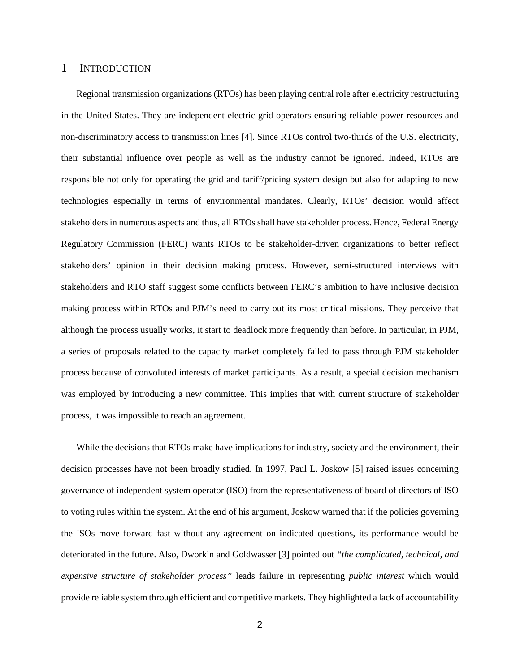# 1 INTRODUCTION

Regional transmission organizations (RTOs) has been playing central role after electricity restructuring in the United States. They are independent electric grid operators ensuring reliable power resources and non-discriminatory access to transmission lines [4]. Since RTOs control two-thirds of the U.S. electricity, their substantial influence over people as well as the industry cannot be ignored. Indeed, RTOs are responsible not only for operating the grid and tariff/pricing system design but also for adapting to new technologies especially in terms of environmental mandates. Clearly, RTOs' decision would affect stakeholders in numerous aspects and thus, all RTOs shall have stakeholder process. Hence, Federal Energy Regulatory Commission (FERC) wants RTOs to be stakeholder-driven organizations to better reflect stakeholders' opinion in their decision making process. However, semi-structured interviews with stakeholders and RTO staff suggest some conflicts between FERC's ambition to have inclusive decision making process within RTOs and PJM's need to carry out its most critical missions. They perceive that although the process usually works, it start to deadlock more frequently than before. In particular, in PJM, a series of proposals related to the capacity market completely failed to pass through PJM stakeholder process because of convoluted interests of market participants. As a result, a special decision mechanism was employed by introducing a new committee. This implies that with current structure of stakeholder process, it was impossible to reach an agreement.

While the decisions that RTOs make have implications for industry, society and the environment, their decision processes have not been broadly studied. In 1997, Paul L. Joskow [5] raised issues concerning governance of independent system operator (ISO) from the representativeness of board of directors of ISO to voting rules within the system. At the end of his argument, Joskow warned that if the policies governing the ISOs move forward fast without any agreement on indicated questions, its performance would be deteriorated in the future. Also, Dworkin and Goldwasser [3] pointed out *"the complicated, technical, and expensive structure of stakeholder process"* leads failure in representing *public interest* which would provide reliable system through efficient and competitive markets. They highlighted a lack of accountability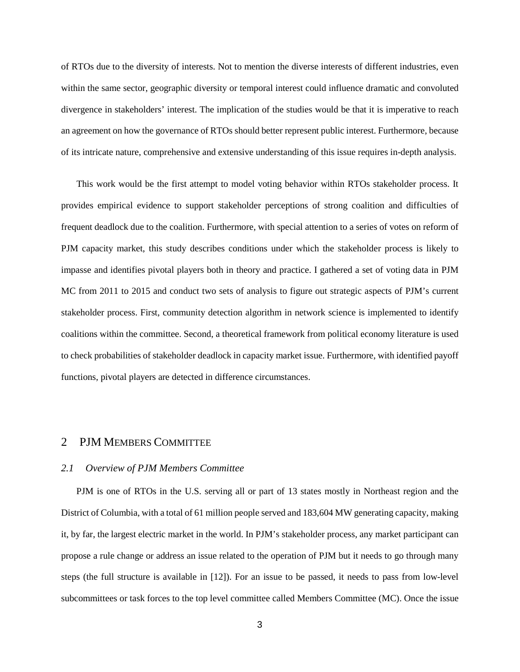of RTOs due to the diversity of interests. Not to mention the diverse interests of different industries, even within the same sector, geographic diversity or temporal interest could influence dramatic and convoluted divergence in stakeholders' interest. The implication of the studies would be that it is imperative to reach an agreement on how the governance of RTOs should better represent public interest. Furthermore, because of its intricate nature, comprehensive and extensive understanding of this issue requires in-depth analysis.

This work would be the first attempt to model voting behavior within RTOs stakeholder process. It provides empirical evidence to support stakeholder perceptions of strong coalition and difficulties of frequent deadlock due to the coalition. Furthermore, with special attention to a series of votes on reform of PJM capacity market, this study describes conditions under which the stakeholder process is likely to impasse and identifies pivotal players both in theory and practice. I gathered a set of voting data in PJM MC from 2011 to 2015 and conduct two sets of analysis to figure out strategic aspects of PJM's current stakeholder process. First, community detection algorithm in network science is implemented to identify coalitions within the committee. Second, a theoretical framework from political economy literature is used to check probabilities of stakeholder deadlock in capacity market issue. Furthermore, with identified payoff functions, pivotal players are detected in difference circumstances.

# 2 PJM MEMBERS COMMITTEE

#### *2.1 Overview of PJM Members Committee*

PJM is one of RTOs in the U.S. serving all or part of 13 states mostly in Northeast region and the District of Columbia, with a total of 61 million people served and 183,604 MW generating capacity, making it, by far, the largest electric market in the world. In PJM's stakeholder process, any market participant can propose a rule change or address an issue related to the operation of PJM but it needs to go through many steps (the full structure is available in [12]). For an issue to be passed, it needs to pass from low-level subcommittees or task forces to the top level committee called Members Committee (MC). Once the issue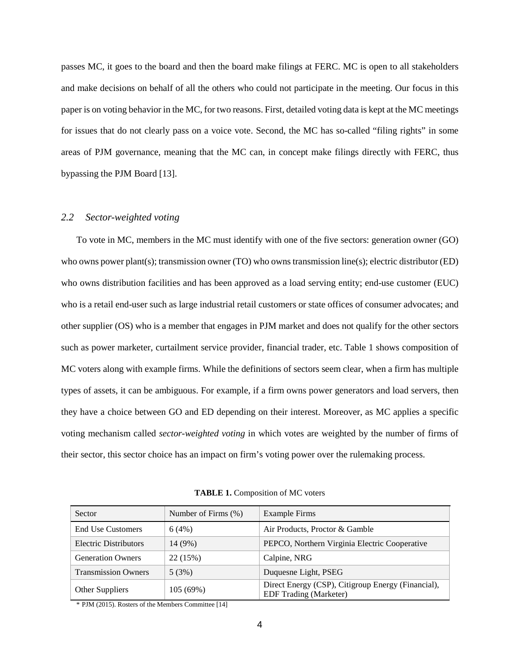passes MC, it goes to the board and then the board make filings at FERC. MC is open to all stakeholders and make decisions on behalf of all the others who could not participate in the meeting. Our focus in this paper is on voting behavior in the MC, for two reasons. First, detailed voting data is kept at the MC meetings for issues that do not clearly pass on a voice vote. Second, the MC has so-called "filing rights" in some areas of PJM governance, meaning that the MC can, in concept make filings directly with FERC, thus bypassing the PJM Board [13].

#### *2.2 Sector-weighted voting*

To vote in MC, members in the MC must identify with one of the five sectors: generation owner (GO) who owns power plant(s); transmission owner (TO) who owns transmission line(s); electric distributor (ED) who owns distribution facilities and has been approved as a load serving entity; end-use customer (EUC) who is a retail end-user such as large industrial retail customers or state offices of consumer advocates; and other supplier (OS) who is a member that engages in PJM market and does not qualify for the other sectors such as power marketer, curtailment service provider, financial trader, etc. Table 1 shows composition of MC voters along with example firms. While the definitions of sectors seem clear, when a firm has multiple types of assets, it can be ambiguous. For example, if a firm owns power generators and load servers, then they have a choice between GO and ED depending on their interest. Moreover, as MC applies a specific voting mechanism called *sector-weighted voting* in which votes are weighted by the number of firms of their sector, this sector choice has an impact on firm's voting power over the rulemaking process.

| Sector                     | Number of Firms $(\%)$ | Example Firms                                                                       |
|----------------------------|------------------------|-------------------------------------------------------------------------------------|
| <b>End Use Customers</b>   | 6(4%)                  | Air Products, Proctor & Gamble                                                      |
| Electric Distributors      | 14 (9%)                | PEPCO, Northern Virginia Electric Cooperative                                       |
| <b>Generation Owners</b>   | 22 (15%)               | Calpine, NRG                                                                        |
| <b>Transmission Owners</b> | 5(3%)                  | Duquesne Light, PSEG                                                                |
| Other Suppliers            | 105(69%)               | Direct Energy (CSP), Citigroup Energy (Financial),<br><b>EDF</b> Trading (Marketer) |

**TABLE 1.** Composition of MC voters

\* PJM (2015). Rosters of the Members Committee [14]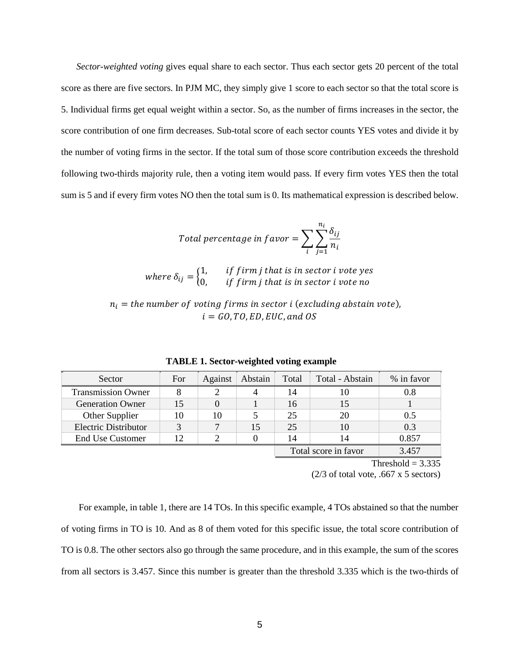*Sector-weighted voting* gives equal share to each sector. Thus each sector gets 20 percent of the total score as there are five sectors. In PJM MC, they simply give 1 score to each sector so that the total score is 5. Individual firms get equal weight within a sector. So, as the number of firms increases in the sector, the score contribution of one firm decreases. Sub-total score of each sector counts YES votes and divide it by the number of voting firms in the sector. If the total sum of those score contribution exceeds the threshold following two-thirds majority rule, then a voting item would pass. If every firm votes YES then the total sum is 5 and if every firm votes NO then the total sum is 0. Its mathematical expression is described below.

Total percentage in favor = 
$$
\sum_{i} \sum_{j=1}^{n_i} \frac{\delta_{ij}}{n_i}
$$

where  $\delta_{ij} = \begin{cases} 1, & if\ f\,\ if\ j\end{cases}$  if firm i that is in sector i vote  $p$ <br>if firm i that is in sector i vote  $n$  $0,$  the  $f$  trm  $f$  that is in sector i

 $n_i$  = the number of voting firms in sector i (excluding abstain vote),  $i = GO, TO, ED, EUC, and OS$ 

| Sector                      | For | Against | Abstain | Total | Total - Abstain      | % in favor |
|-----------------------------|-----|---------|---------|-------|----------------------|------------|
| <b>Transmission Owner</b>   |     |         | 4       | 14    | 10                   | 0.8        |
| <b>Generation Owner</b>     | 15  |         |         | 16    | 15                   |            |
| Other Supplier              | 10  | 10      |         | 25    | 20                   | 0.5        |
| <b>Electric Distributor</b> | 2   | ⇁       | 15      | 25    | 10                   | 0.3        |
| <b>End Use Customer</b>     | 12  |         |         | 14    | 14                   | 0.857      |
|                             |     |         |         |       | Total score in favor | 3.457      |

**TABLE 1. Sector-weighted voting example**

Threshold  $= 3.335$ 

 $(2/3)$  of total vote, .667 x 5 sectors)

For example, in table 1, there are 14 TOs. In this specific example, 4 TOs abstained so that the number of voting firms in TO is 10. And as 8 of them voted for this specific issue, the total score contribution of TO is 0.8. The other sectors also go through the same procedure, and in this example, the sum of the scores from all sectors is 3.457. Since this number is greater than the threshold 3.335 which is the two-thirds of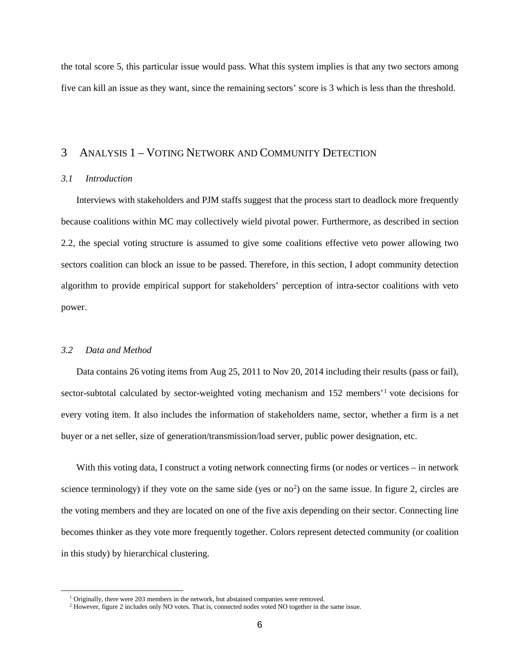the total score 5, this particular issue would pass. What this system implies is that any two sectors among five can kill an issue as they want, since the remaining sectors' score is 3 which is less than the threshold.

# 3 ANALYSIS 1 – VOTING NETWORK AND COMMUNITY DETECTION

# *3.1 Introduction*

Interviews with stakeholders and PJM staffs suggest that the process start to deadlock more frequently because coalitions within MC may collectively wield pivotal power. Furthermore, as described in section 2.2, the special voting structure is assumed to give some coalitions effective veto power allowing two sectors coalition can block an issue to be passed. Therefore, in this section, I adopt community detection algorithm to provide empirical support for stakeholders' perception of intra-sector coalitions with veto power.

# *3.2 Data and Method*

<span id="page-5-1"></span><span id="page-5-0"></span> $\overline{\phantom{a}}$ 

Data contains 26 voting items from Aug 25, 2011 to Nov 20, 2014 including their results (pass or fail), sector-subtotal calculated by sector-weighted voting mechanism and [1](#page-5-0)52 members'<sup>1</sup> vote decisions for every voting item. It also includes the information of stakeholders name, sector, whether a firm is a net buyer or a net seller, size of generation/transmission/load server, public power designation, etc.

With this voting data, I construct a voting network connecting firms (or nodes or vertices – in network science terminology) if they vote on the same side (yes or  $no<sup>2</sup>$  $no<sup>2</sup>$  $no<sup>2</sup>$ ) on the same issue. In figure 2, circles are the voting members and they are located on one of the five axis depending on their sector. Connecting line becomes thinker as they vote more frequently together. Colors represent detected community (or coalition in this study) by hierarchical clustering.

<sup>&</sup>lt;sup>1</sup> Originally, there were 203 members in the network, but abstained companies were removed.

<sup>&</sup>lt;sup>2</sup> However, figure 2 includes only NO votes. That is, connected nodes voted NO together in the same issue.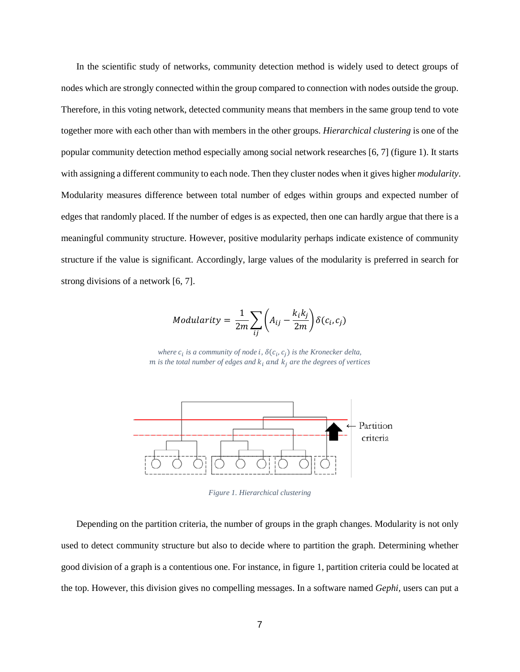In the scientific study of networks, community detection method is widely used to detect groups of nodes which are strongly connected within the group compared to connection with nodes outside the group. Therefore, in this voting network, detected community means that members in the same group tend to vote together more with each other than with members in the other groups. *Hierarchical clustering* is one of the popular community detection method especially among social network researches [6, 7] (figure 1). It starts with assigning a different community to each node. Then they cluster nodes when it gives higher *modularity*. Modularity measures difference between total number of edges within groups and expected number of edges that randomly placed. If the number of edges is as expected, then one can hardly argue that there is a meaningful community structure. However, positive modularity perhaps indicate existence of community structure if the value is significant. Accordingly, large values of the modularity is preferred in search for strong divisions of a network [6, 7].

Modularity = 
$$
\frac{1}{2m} \sum_{ij} \left( A_{ij} - \frac{k_i k_j}{2m} \right) \delta(c_i, c_j)
$$

*where*  $c_i$  *is a community of node i*,  $\delta(c_i, c_i)$  *is the Kronecker delta,*  $m$  *is the total number of edges and*  $k_i$  and  $k_j$  *are the degrees of vertices* 



*Figure 1. Hierarchical clustering*

Depending on the partition criteria, the number of groups in the graph changes. Modularity is not only used to detect community structure but also to decide where to partition the graph. Determining whether good division of a graph is a contentious one. For instance, in figure 1, partition criteria could be located at the top. However, this division gives no compelling messages. In a software named *Gephi,* users can put a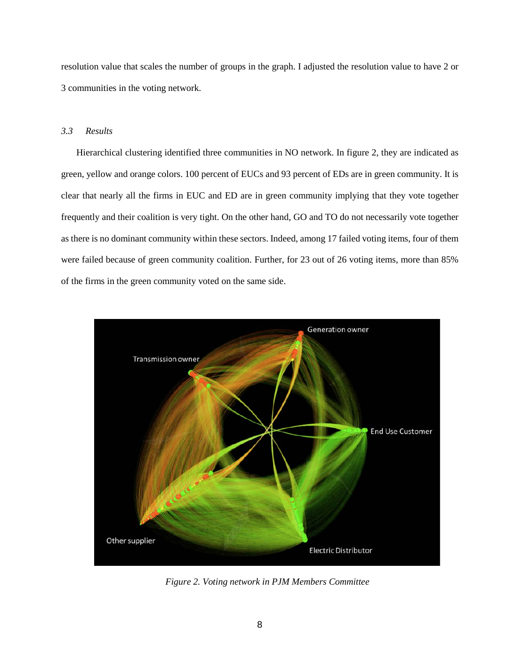resolution value that scales the number of groups in the graph. I adjusted the resolution value to have 2 or 3 communities in the voting network.

# *3.3 Results*

Hierarchical clustering identified three communities in NO network. In figure 2, they are indicated as green, yellow and orange colors. 100 percent of EUCs and 93 percent of EDs are in green community. It is clear that nearly all the firms in EUC and ED are in green community implying that they vote together frequently and their coalition is very tight. On the other hand, GO and TO do not necessarily vote together as there is no dominant community within these sectors. Indeed, among 17 failed voting items, four of them were failed because of green community coalition. Further, for 23 out of 26 voting items, more than 85% of the firms in the green community voted on the same side.



*Figure 2. Voting network in PJM Members Committee*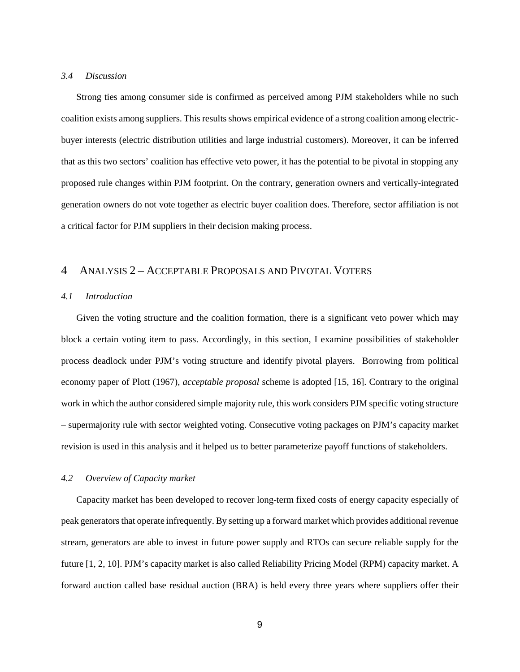#### *3.4 Discussion*

Strong ties among consumer side is confirmed as perceived among PJM stakeholders while no such coalition exists among suppliers. This results shows empirical evidence of a strong coalition among electricbuyer interests (electric distribution utilities and large industrial customers). Moreover, it can be inferred that as this two sectors' coalition has effective veto power, it has the potential to be pivotal in stopping any proposed rule changes within PJM footprint. On the contrary, generation owners and vertically-integrated generation owners do not vote together as electric buyer coalition does. Therefore, sector affiliation is not a critical factor for PJM suppliers in their decision making process.

# 4 ANALYSIS 2 – ACCEPTABLE PROPOSALS AND PIVOTAL VOTERS

#### *4.1 Introduction*

Given the voting structure and the coalition formation, there is a significant veto power which may block a certain voting item to pass. Accordingly, in this section, I examine possibilities of stakeholder process deadlock under PJM's voting structure and identify pivotal players. Borrowing from political economy paper of Plott (1967), *acceptable proposal* scheme is adopted [15, 16]. Contrary to the original work in which the author considered simple majority rule, this work considers PJM specific voting structure – supermajority rule with sector weighted voting. Consecutive voting packages on PJM's capacity market revision is used in this analysis and it helped us to better parameterize payoff functions of stakeholders.

#### *4.2 Overview of Capacity market*

Capacity market has been developed to recover long-term fixed costs of energy capacity especially of peak generators that operate infrequently. By setting up a forward market which provides additional revenue stream, generators are able to invest in future power supply and RTOs can secure reliable supply for the future [1, 2, 10]. PJM's capacity market is also called Reliability Pricing Model (RPM) capacity market. A forward auction called base residual auction (BRA) is held every three years where suppliers offer their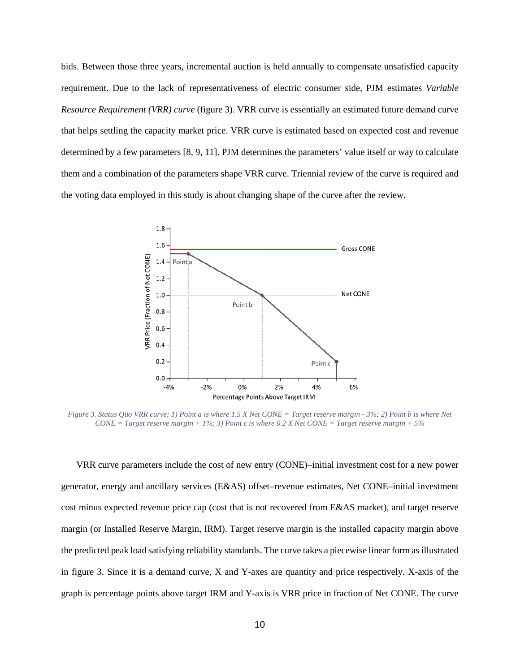bids. Between those three years, incremental auction is held annually to compensate unsatisfied capacity requirement. Due to the lack of representativeness of electric consumer side, PJM estimates *Variable Resource Requirement (VRR) curve* (figure 3). VRR curve is essentially an estimated future demand curve that helps settling the capacity market price. VRR curve is estimated based on expected cost and revenue determined by a few parameters [8, 9, 11]. PJM determines the parameters' value itself or way to calculate them and a combination of the parameters shape VRR curve. Triennial review of the curve is required and the voting data employed in this study is about changing shape of the curve after the review.



*Figure 3. Status Quo VRR curve; 1) Point a is where 1.5 X Net CONE = Target reserve margin - 3%; 2) Point b is where Net CONE = Target reserve margin + 1%; 3) Point c is where 0.2 X Net CONE = Target reserve margin + 5%*

VRR curve parameters include the cost of new entry (CONE)–initial investment cost for a new power generator, energy and ancillary services (E&AS) offset–revenue estimates, Net CONE–initial investment cost minus expected revenue price cap (cost that is not recovered from E&AS market), and target reserve margin (or Installed Reserve Margin, IRM). Target reserve margin is the installed capacity margin above the predicted peak load satisfying reliability standards. The curve takes a piecewise linear form as illustrated in figure 3. Since it is a demand curve, X and Y-axes are quantity and price respectively. X-axis of the graph is percentage points above target IRM and Y-axis is VRR price in fraction of Net CONE. The curve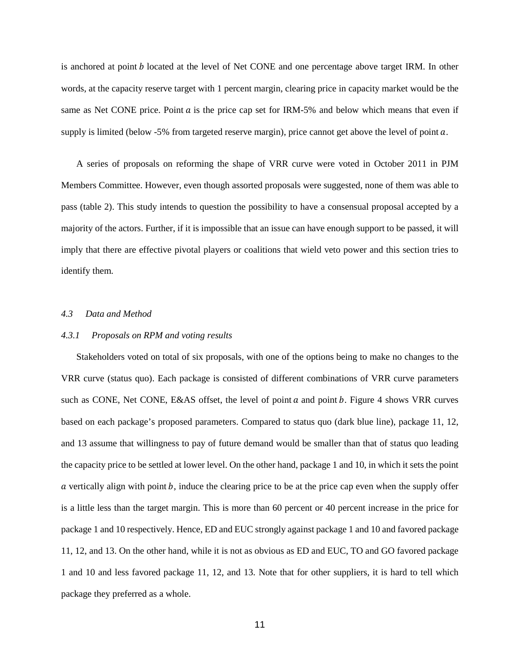is anchored at point *b* located at the level of Net CONE and one percentage above target IRM. In other words, at the capacity reserve target with 1 percent margin, clearing price in capacity market would be the same as Net CONE price. Point  $a$  is the price cap set for IRM-5% and below which means that even if supply is limited (below  $-5\%$  from targeted reserve margin), price cannot get above the level of point  $a$ .

A series of proposals on reforming the shape of VRR curve were voted in October 2011 in PJM Members Committee. However, even though assorted proposals were suggested, none of them was able to pass (table 2). This study intends to question the possibility to have a consensual proposal accepted by a majority of the actors. Further, if it is impossible that an issue can have enough support to be passed, it will imply that there are effective pivotal players or coalitions that wield veto power and this section tries to identify them.

#### *4.3 Data and Method*

#### *4.3.1 Proposals on RPM and voting results*

Stakeholders voted on total of six proposals, with one of the options being to make no changes to the VRR curve (status quo). Each package is consisted of different combinations of VRR curve parameters such as CONE, Net CONE, E&AS offset, the level of point  $a$  and point  $b$ . Figure 4 shows VRR curves based on each package's proposed parameters. Compared to status quo (dark blue line), package 11, 12, and 13 assume that willingness to pay of future demand would be smaller than that of status quo leading the capacity price to be settled at lower level. On the other hand, package 1 and 10, in which it sets the point  $\alpha$  vertically align with point  $\beta$ , induce the clearing price to be at the price cap even when the supply offer is a little less than the target margin. This is more than 60 percent or 40 percent increase in the price for package 1 and 10 respectively. Hence, ED and EUC strongly against package 1 and 10 and favored package 11, 12, and 13. On the other hand, while it is not as obvious as ED and EUC, TO and GO favored package 1 and 10 and less favored package 11, 12, and 13. Note that for other suppliers, it is hard to tell which package they preferred as a whole.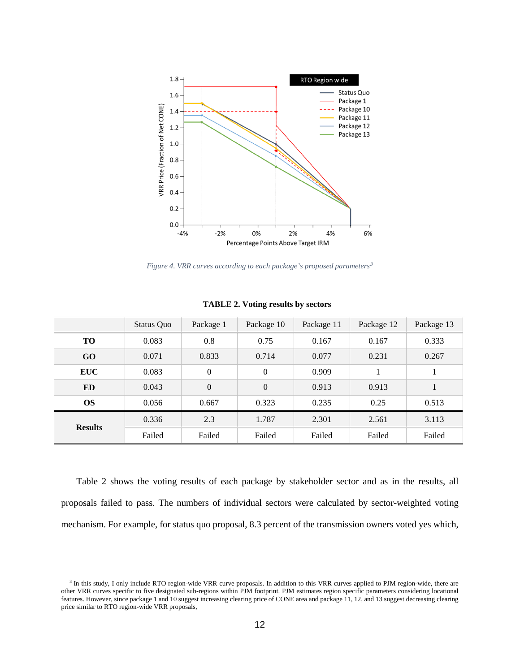

*Figure 4. VRR curves according to each package's proposed parameters[3](#page-11-0)*

|                | Status Quo | Package 1        | Package 10     | Package 11 | Package 12 | Package 13 |
|----------------|------------|------------------|----------------|------------|------------|------------|
| <b>TO</b>      | 0.083      | 0.8              | 0.75           | 0.167      | 0.167      | 0.333      |
| GO             | 0.071      | 0.833            | 0.714          | 0.077      | 0.231      | 0.267      |
| <b>EUC</b>     | 0.083      | $\boldsymbol{0}$ | $\overline{0}$ | 0.909      |            |            |
| <b>ED</b>      | 0.043      | $\boldsymbol{0}$ | $\overline{0}$ | 0.913      | 0.913      |            |
| <b>OS</b>      | 0.056      | 0.667            | 0.323          | 0.235      | 0.25       | 0.513      |
| <b>Results</b> | 0.336      | 2.3              | 1.787          | 2.301      | 2.561      | 3.113      |
|                | Failed     | Failed           | Failed         | Failed     | Failed     | Failed     |

**TABLE 2. Voting results by sectors**

Table 2 shows the voting results of each package by stakeholder sector and as in the results, all proposals failed to pass. The numbers of individual sectors were calculated by sector-weighted voting mechanism. For example, for status quo proposal, 8.3 percent of the transmission owners voted yes which,

l

<span id="page-11-0"></span><sup>&</sup>lt;sup>3</sup> In this study, I only include RTO region-wide VRR curve proposals. In addition to this VRR curves applied to PJM region-wide, there are other VRR curves specific to five designated sub-regions within PJM footprint. PJM estimates region specific parameters considering locational features. However, since package 1 and 10 suggest increasing clearing price of CONE area and package 11, 12, and 13 suggest decreasing clearing price similar to RTO region-wide VRR proposals,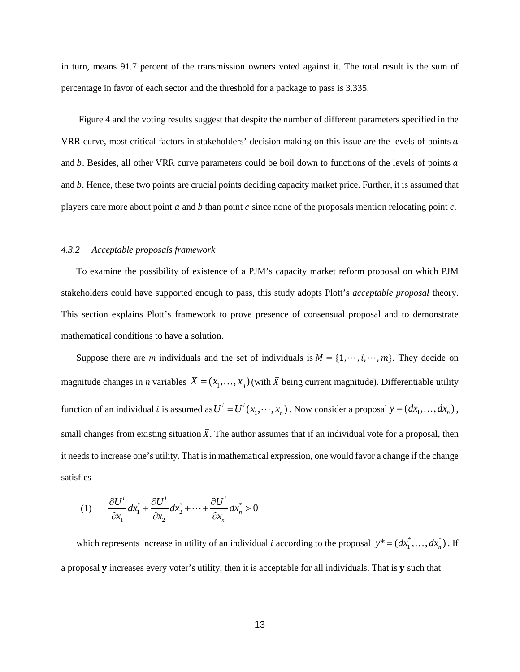in turn, means 91.7 percent of the transmission owners voted against it. The total result is the sum of percentage in favor of each sector and the threshold for a package to pass is 3.335.

Figure 4 and the voting results suggest that despite the number of different parameters specified in the VRR curve, most critical factors in stakeholders' decision making on this issue are the levels of points a and  $b$ . Besides, all other VRR curve parameters could be boil down to functions of the levels of points  $a$ and b. Hence, these two points are crucial points deciding capacity market price. Further, it is assumed that players care more about point  $a$  and  $b$  than point  $c$  since none of the proposals mention relocating point  $c$ .

#### *4.3.2 Acceptable proposals framework*

To examine the possibility of existence of a PJM's capacity market reform proposal on which PJM stakeholders could have supported enough to pass, this study adopts Plott's *acceptable proposal* theory. This section explains Plott's framework to prove presence of consensual proposal and to demonstrate mathematical conditions to have a solution.

Suppose there are *m* individuals and the set of individuals is  $M = \{1, \dots, i, \dots, m\}$ . They decide on magnitude changes in *n* variables  $X = (x_1, \dots, x_n)$  (with  $\overline{X}$  being current magnitude). Differentiable utility function of an individual *i* is assumed as  $U^i = U^i(x_1, \dots, x_n)$ . Now consider a proposal  $y = (dx_1, \dots, dx_n)$ , small changes from existing situation  $\bar{X}$ . The author assumes that if an individual vote for a proposal, then it needs to increase one's utility. That is in mathematical expression, one would favor a change if the change satisfies

$$
(1) \qquad \frac{\partial U^i}{\partial x_1} dx_1^* + \frac{\partial U^i}{\partial x_2} dx_2^* + \dots + \frac{\partial U^i}{\partial x_n} dx_n^* > 0
$$

which represents increase in utility of an individual *i* according to the proposal  $y^* = (dx_1^*, \dots, dx_n^*)$ . If a proposal  $\bf{y}$  increases every voter's utility, then it is acceptable for all individuals. That is  $\bf{y}$  such that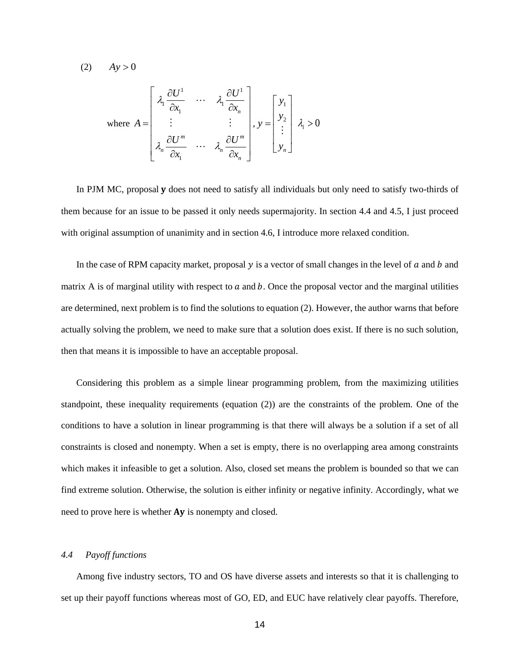$(2)$   $Ay > 0$ 

where 
$$
A = \begin{bmatrix} \lambda_1 \frac{\partial U^1}{\partial x_1} & \cdots & \lambda_1 \frac{\partial U^1}{\partial x_n} \\ \vdots & & \vdots \\ \lambda_n \frac{\partial U^m}{\partial x_1} & \cdots & \lambda_n \frac{\partial U^m}{\partial x_n} \end{bmatrix}, y = \begin{bmatrix} y_1 \\ y_2 \\ \vdots \\ y_n \end{bmatrix}, \lambda_i > 0
$$

In PJM MC, proposal **y** does not need to satisfy all individuals but only need to satisfy two-thirds of them because for an issue to be passed it only needs supermajority. In section 4.4 and 4.5, I just proceed with original assumption of unanimity and in section 4.6, I introduce more relaxed condition.

In the case of RPM capacity market, proposal  $y$  is a vector of small changes in the level of  $a$  and  $b$  and matrix A is of marginal utility with respect to  $a$  and  $b$ . Once the proposal vector and the marginal utilities are determined, next problem is to find the solutions to equation (2). However, the author warns that before actually solving the problem, we need to make sure that a solution does exist. If there is no such solution, then that means it is impossible to have an acceptable proposal.

Considering this problem as a simple linear programming problem, from the maximizing utilities standpoint, these inequality requirements (equation (2)) are the constraints of the problem. One of the conditions to have a solution in linear programming is that there will always be a solution if a set of all constraints is closed and nonempty. When a set is empty, there is no overlapping area among constraints which makes it infeasible to get a solution. Also, closed set means the problem is bounded so that we can find extreme solution. Otherwise, the solution is either infinity or negative infinity. Accordingly, what we need to prove here is whether **Ay** is nonempty and closed.

# *4.4 Payoff functions*

Among five industry sectors, TO and OS have diverse assets and interests so that it is challenging to set up their payoff functions whereas most of GO, ED, and EUC have relatively clear payoffs. Therefore,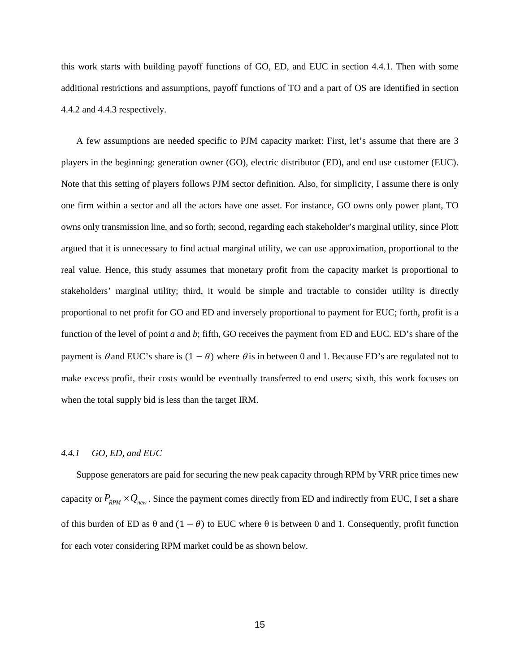this work starts with building payoff functions of GO, ED, and EUC in section 4.4.1. Then with some additional restrictions and assumptions, payoff functions of TO and a part of OS are identified in section 4.4.2 and 4.4.3 respectively.

A few assumptions are needed specific to PJM capacity market: First, let's assume that there are 3 players in the beginning: generation owner (GO), electric distributor (ED), and end use customer (EUC). Note that this setting of players follows PJM sector definition. Also, for simplicity, I assume there is only one firm within a sector and all the actors have one asset. For instance, GO owns only power plant, TO owns only transmission line, and so forth; second, regarding each stakeholder's marginal utility, since Plott argued that it is unnecessary to find actual marginal utility, we can use approximation, proportional to the real value. Hence, this study assumes that monetary profit from the capacity market is proportional to stakeholders' marginal utility; third, it would be simple and tractable to consider utility is directly proportional to net profit for GO and ED and inversely proportional to payment for EUC; forth, profit is a function of the level of point *a* and *b*; fifth, GO receives the payment from ED and EUC. ED's share of the payment is  $\theta$  and EUC's share is  $(1 - \theta)$  where  $\theta$  is in between 0 and 1. Because ED's are regulated not to make excess profit, their costs would be eventually transferred to end users; sixth, this work focuses on when the total supply bid is less than the target IRM.

# *4.4.1 GO, ED, and EUC*

Suppose generators are paid for securing the new peak capacity through RPM by VRR price times new capacity or  $P_{RPM} \times Q_{new}$ . Since the payment comes directly from ED and indirectly from EUC, I set a share of this burden of ED as  $\theta$  and  $(1 - \theta)$  to EUC where  $\theta$  is between 0 and 1. Consequently, profit function for each voter considering RPM market could be as shown below.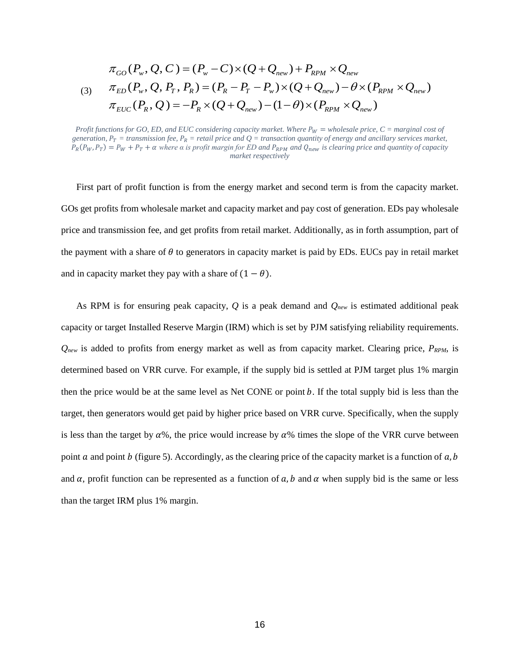$$
\pi_{GO}(P_w, Q, C) = (P_w - C) \times (Q + Q_{new}) + P_{RPM} \times Q_{new}
$$
\n
$$
\pi_{ED}(P_w, Q, P_T, P_R) = (P_R - P_T - P_w) \times (Q + Q_{new}) - \theta \times (P_{RPM} \times Q_{new})
$$
\n
$$
\pi_{EUC}(P_R, Q) = -P_R \times (Q + Q_{new}) - (1 - \theta) \times (P_{RPM} \times Q_{new})
$$

First part of profit function is from the energy market and second term is from the capacity market. GOs get profits from wholesale market and capacity market and pay cost of generation. EDs pay wholesale price and transmission fee, and get profits from retail market. Additionally, as in forth assumption, part of the payment with a share of  $\theta$  to generators in capacity market is paid by EDs. EUCs pay in retail market and in capacity market they pay with a share of  $(1 - \theta)$ .

As RPM is for ensuring peak capacity, *Q* is a peak demand and *Qnew* is estimated additional peak capacity or target Installed Reserve Margin (IRM) which is set by PJM satisfying reliability requirements. *Qnew* is added to profits from energy market as well as from capacity market. Clearing price, *PRPM*, is determined based on VRR curve. For example, if the supply bid is settled at PJM target plus 1% margin then the price would be at the same level as Net CONE or point  $b$ . If the total supply bid is less than the target, then generators would get paid by higher price based on VRR curve. Specifically, when the supply is less than the target by  $\alpha$ %, the price would increase by  $\alpha$ % times the slope of the VRR curve between point  $a$  and point  $b$  (figure 5). Accordingly, as the clearing price of the capacity market is a function of  $a, b$ and  $\alpha$ , profit function can be represented as a function of  $\alpha$ , b and  $\alpha$  when supply bid is the same or less than the target IRM plus 1% margin.

*Profit functions for GO, ED, and EUC considering capacity market. Where*  $P_W =$  *wholesale price, C = marginal cost of* generation,  $P_T =$  transmission fee,  $P_R =$  retail price and  $Q =$  transaction quantity of energy and ancillary services market,  $P_R(P_W, P_T) = P_W + P_T + \alpha$  where  $\alpha$  is profit margin for ED and  $P_{RPM}$  and  $Q_{new}$  is clearing price and quantity of capacity *market respectively*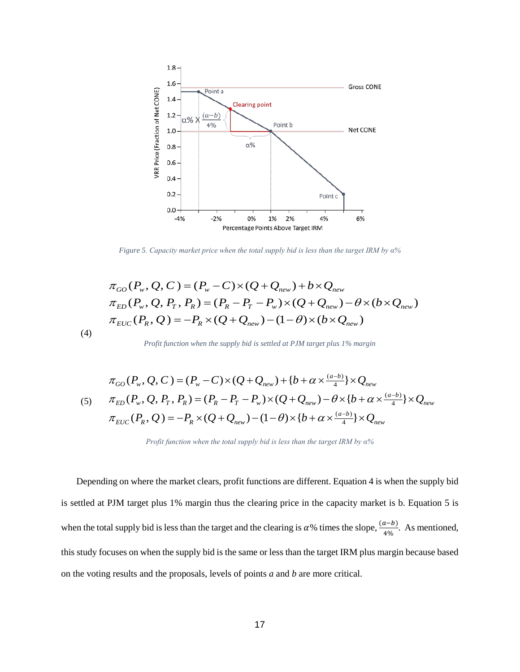

*Figure 5. Capacity market price when the total supply bid is less than the target IRM by α%*

$$
\pi_{GO}(P_w, Q, C) = (P_w - C) \times (Q + Q_{new}) + b \times Q_{new} \n\pi_{ED}(P_w, Q, P_T, P_R) = (P_R - P_T - P_w) \times (Q + Q_{new}) - \theta \times (b \times Q_{new}) \n\pi_{EUC}(P_R, Q) = -P_R \times (Q + Q_{new}) - (1 - \theta) \times (b \times Q_{new})
$$

*Profit function when the supply bid is settled at PJM target plus 1% margin*

(4)

(5) 
$$
\pi_{GO}(P_w, Q, C) = (P_w - C) \times (Q + Q_{new}) + \{b + \alpha \times \frac{(a-b)}{4}\} \times Q_{new}
$$

$$
\pi_{ED}(P_w, Q, P_T, P_R) = (P_R - P_T - P_w) \times (Q + Q_{new}) - \theta \times \{b + \alpha \times \frac{(a-b)}{4}\} \times Q_{new}
$$

$$
\pi_{EUC}(P_R, Q) = -P_R \times (Q + Q_{new}) - (1 - \theta) \times \{b + \alpha \times \frac{(a-b)}{4}\} \times Q_{new}
$$

Depending on where the market clears, profit functions are different. Equation 4 is when the supply bid is settled at PJM target plus 1% margin thus the clearing price in the capacity market is b. Equation 5 is when the total supply bid is less than the target and the clearing is  $\alpha$ % times the slope,  $\frac{(a-b)}{4\%}$ . As mentioned, this study focuses on when the supply bid is the same or less than the target IRM plus margin because based on the voting results and the proposals, levels of points *a* and *b* are more critical.

*Profit function when the total supply bid is less than the target IRM by α%*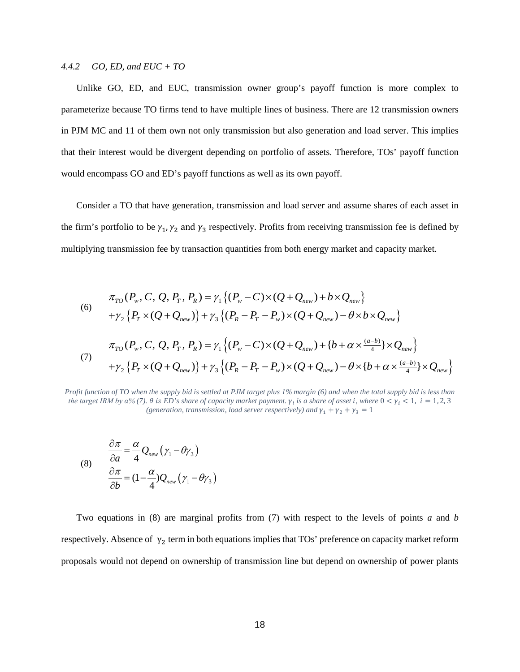## *4.4.2 GO, ED, and EUC + TO*

Unlike GO, ED, and EUC, transmission owner group's payoff function is more complex to parameterize because TO firms tend to have multiple lines of business. There are 12 transmission owners in PJM MC and 11 of them own not only transmission but also generation and load server. This implies that their interest would be divergent depending on portfolio of assets. Therefore, TOs' payoff function would encompass GO and ED's payoff functions as well as its own payoff.

Consider a TO that have generation, transmission and load server and assume shares of each asset in the firm's portfolio to be  $\gamma_1$ ,  $\gamma_2$  and  $\gamma_3$  respectively. Profits from receiving transmission fee is defined by multiplying transmission fee by transaction quantities from both energy market and capacity market.

(6)  
\n
$$
\pi_{TO}(P_w, C, Q, P_T, P_R) = \gamma_1 \{(P_w - C) \times (Q + Q_{new}) + b \times Q_{new}\}\
$$
\n
$$
+ \gamma_2 \{P_T \times (Q + Q_{new})\} + \gamma_3 \{(P_R - P_T - P_w) \times (Q + Q_{new}) - \theta \times b \times Q_{new}\}\
$$
\n
$$
\pi_{TO}(P_w, C, Q, P_T, P_R) = \gamma_1 \{(P_w - C) \times (Q + Q_{new}) + \{b + \alpha \times \frac{(a-b)}{4}\} \times Q_{new}\}\
$$
\n(7)  
\n
$$
+ \gamma_2 \{P_T \times (Q + Q_{new})\} + \gamma_3 \{(P_R - P_T - P_w) \times (Q + Q_{new}) - \theta \times \{b + \alpha \times \frac{(a-b)}{4}\} \times Q_{new}\}
$$

*Profit function of TO when the supply bid is settled at PJM target plus 1% margin (6) and when the total supply bid is less than the target IRM by*  $\alpha$ *% (7).*  $\theta$  *is ED's share of capacity market payment.*  $\gamma_i$  *is a share of asset i, where*  $0 < \gamma_i < 1$ *,*  $i = 1, 2, 3$ (generation, transmission, load server respectively) and  $\gamma_1 + \gamma_2 + \gamma_3 = 1$ 

(8) 
$$
\frac{\partial \pi}{\partial a} = \frac{\alpha}{4} Q_{new} (\gamma_1 - \theta \gamma_3)
$$

$$
\frac{\partial \pi}{\partial b} = (1 - \frac{\alpha}{4}) Q_{new} (\gamma_1 - \theta \gamma_3)
$$

Two equations in (8) are marginal profits from (7) with respect to the levels of points *a* and *b* respectively. Absence of  $\gamma_2$  term in both equations implies that TOs' preference on capacity market reform proposals would not depend on ownership of transmission line but depend on ownership of power plants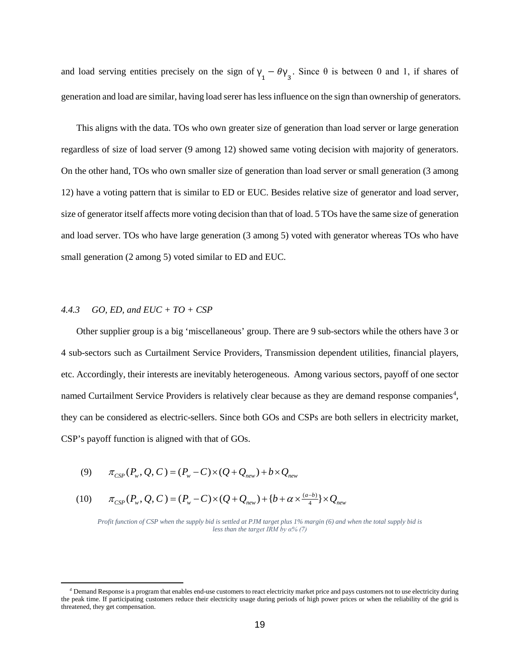and load serving entities precisely on the sign of  $\gamma_1 - \theta \gamma_3$ . Since  $\theta$  is between 0 and 1, if shares of generation and load are similar, having load serer has less influence on the sign than ownership of generators.

This aligns with the data. TOs who own greater size of generation than load server or large generation regardless of size of load server (9 among 12) showed same voting decision with majority of generators. On the other hand, TOs who own smaller size of generation than load server or small generation (3 among 12) have a voting pattern that is similar to ED or EUC. Besides relative size of generator and load server, size of generator itself affects more voting decision than that of load. 5 TOs have the same size of generation and load server. TOs who have large generation (3 among 5) voted with generator whereas TOs who have small generation (2 among 5) voted similar to ED and EUC.

## *4.4.3 GO, ED, and EUC + TO + CSP*

 $\overline{a}$ 

Other supplier group is a big 'miscellaneous' group. There are 9 sub-sectors while the others have 3 or 4 sub-sectors such as Curtailment Service Providers, Transmission dependent utilities, financial players, etc. Accordingly, their interests are inevitably heterogeneous. Among various sectors, payoff of one sector named Curtailment Service Providers is relatively clear because as they are demand response companies<sup>[4](#page-18-0)</sup>, they can be considered as electric-sellers. Since both GOs and CSPs are both sellers in electricity market, CSP's payoff function is aligned with that of GOs.

(9) 
$$
\pi_{CSP}(P_w, Q, C) = (P_w - C) \times (Q + Q_{new}) + b \times Q_{new}
$$

(10) 
$$
\pi_{CSP}(P_w, Q, C) = (P_w - C) \times (Q + Q_{new}) + \{b + \alpha \times \frac{(a-b)}{4}\} \times Q_{new}
$$

*Profit function of CSP when the supply bid is settled at PJM target plus 1% margin (6) and when the total supply bid is less than the target IRM by α% (7)*

<span id="page-18-0"></span>*<sup>4</sup>* Demand Response is a program that enables end-use customers to react electricity market price and pays customers not to use electricity during the peak time. If participating customers reduce their electricity usage during periods of high power prices or when the reliability of the grid is threatened, they get compensation.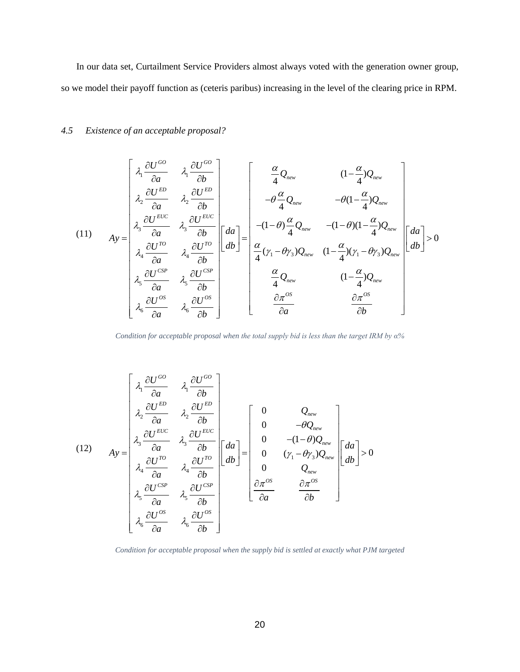In our data set, Curtailment Service Providers almost always voted with the generation owner group, so we model their payoff function as (ceteris paribus) increasing in the level of the clearing price in RPM.

# *4.5 Existence of an acceptable proposal?*

$$
(11) \quad A_y = \begin{bmatrix} \lambda_1 \frac{\partial U^{GO}}{\partial a} & \lambda_1 \frac{\partial U^{GO}}{\partial b} \\ \lambda_2 \frac{\partial U^{ED}}{\partial a} & \lambda_2 \frac{\partial U^{ED}}{\partial b} \\ \lambda_3 \frac{\partial U^{EUC}}{\partial a} & \lambda_3 \frac{\partial U^{EUC}}{\partial b} \\ \lambda_4 \frac{\partial U^{TO}}{\partial a} & \lambda_4 \frac{\partial U^{TO}}{\partial b} \\ \lambda_5 \frac{\partial U^{CSP}}{\partial a} & \lambda_5 \frac{\partial U^{CSP}}{\partial b} \\ \lambda_6 \frac{\partial U^{CSP}}{\partial a} & \lambda_6 \frac{\partial U^{CSP}}{\partial b} \end{bmatrix} \begin{bmatrix} da \\ db \end{bmatrix} = \begin{bmatrix} \frac{\alpha}{4} Q_{new} & (1 - \frac{\alpha}{4}) Q_{new} \\ -\theta \frac{\alpha}{4} Q_{new} & -\theta (1 - \frac{\alpha}{4}) Q_{new} \\ -(1 - \theta) \frac{\alpha}{4} Q_{new} & -(1 - \theta) (1 - \frac{\alpha}{4}) Q_{new} \\ \frac{\alpha}{4} ( \gamma_1 - \theta \gamma_3) Q_{new} & (1 - \frac{\alpha}{4}) ( \gamma_1 - \theta \gamma_3) Q_{new} \\ \frac{\alpha}{4} Q_{new} & (1 - \frac{\alpha}{4}) Q_{new} \\ \frac{\alpha}{4} Q_{new} & (1 - \frac{\alpha}{4}) Q_{new} \\ \frac{\alpha}{4} Q_{new} & \frac{\alpha}{4} \frac{\alpha}{2} \frac{\alpha}{2} \end{bmatrix} = \begin{bmatrix} da \\ db \\ db \end{bmatrix} > 0
$$

*Condition for acceptable proposal when the total supply bid is less than the target IRM by α%*

$$
(12)
$$
\n
$$
Ay = \begin{bmatrix}\n\lambda_1 \frac{\partial U^{GO}}{\partial a} & \lambda_1 \frac{\partial U^{GO}}{\partial b} \\
\lambda_2 \frac{\partial U^{ED}}{\partial a} & \lambda_2 \frac{\partial U^{ED}}{\partial b} \\
\lambda_3 \frac{\partial U^{EUC}}{\partial a} & \lambda_3 \frac{\partial U^{EUC}}{\partial b} \\
\lambda_4 \frac{\partial U^{TO}}{\partial a} & \lambda_4 \frac{\partial U^{TO}}{\partial b} \\
\lambda_5 \frac{\partial U^{CSP}}{\partial a} & \lambda_5 \frac{\partial U^{CSP}}{\partial b} \\
\lambda_6 \frac{\partial U^{CSP}}{\partial a} & \lambda_6 \frac{\partial U^{CSP}}{\partial b}\n\end{bmatrix}\n\begin{bmatrix}\nda \\
db\n\end{bmatrix} = \begin{bmatrix}\n0 & Q_{new} \\
0 & -(1-\theta)Q_{new} \\
0 & (\gamma_1 - \theta \gamma_3)Q_{new} \\
0 & Q_{new} \\
\frac{\partial \pi^{OS}}{\partial a} & \frac{\partial \pi^{OS}}{\partial b}\n\end{bmatrix}\n\begin{bmatrix}\nda \\
db\n\end{bmatrix} > 0
$$

*Condition for acceptable proposal when the supply bid is settled at exactly what PJM targeted*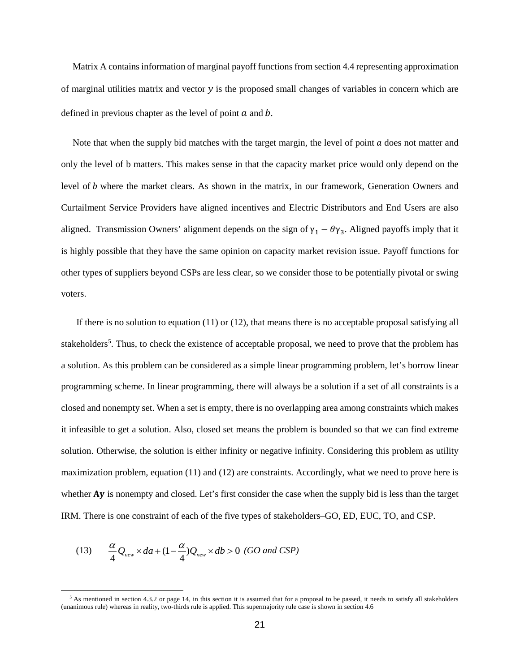Matrix A contains information of marginal payoff functions from section 4.4 representing approximation of marginal utilities matrix and vector  $\gamma$  is the proposed small changes of variables in concern which are defined in previous chapter as the level of point  $a$  and  $b$ .

Note that when the supply bid matches with the target margin, the level of point  $\alpha$  does not matter and only the level of b matters. This makes sense in that the capacity market price would only depend on the level of b where the market clears. As shown in the matrix, in our framework, Generation Owners and Curtailment Service Providers have aligned incentives and Electric Distributors and End Users are also aligned. Transmission Owners' alignment depends on the sign of  $\gamma_1 - \theta \gamma_3$ . Aligned payoffs imply that it is highly possible that they have the same opinion on capacity market revision issue. Payoff functions for other types of suppliers beyond CSPs are less clear, so we consider those to be potentially pivotal or swing voters.

If there is no solution to equation  $(11)$  or  $(12)$ , that means there is no acceptable proposal satisfying all stakeholders<sup>5</sup>. Thus, to check the existence of acceptable proposal, we need to prove that the problem has a solution. As this problem can be considered as a simple linear programming problem, let's borrow linear programming scheme. In linear programming, there will always be a solution if a set of all constraints is a closed and nonempty set. When a set is empty, there is no overlapping area among constraints which makes it infeasible to get a solution. Also, closed set means the problem is bounded so that we can find extreme solution. Otherwise, the solution is either infinity or negative infinity. Considering this problem as utility maximization problem, equation (11) and (12) are constraints. Accordingly, what we need to prove here is whether Ay is nonempty and closed. Let's first consider the case when the supply bid is less than the target IRM. There is one constraint of each of the five types of stakeholders–GO, ED, EUC, TO, and CSP.

(13) 
$$
\frac{\alpha}{4}Q_{new} \times da + (1 - \frac{\alpha}{4})Q_{new} \times db > 0
$$
 (GO and CSP)

 $\overline{\phantom{a}}$ 

<span id="page-20-0"></span> $<sup>5</sup>$  As mentioned in section 4.3.2 or page 14, in this section it is assumed that for a proposal to be passed, it needs to satisfy all stakeholders</sup> (unanimous rule) whereas in reality, two-thirds rule is applied. This supermajority rule case is shown in section 4.6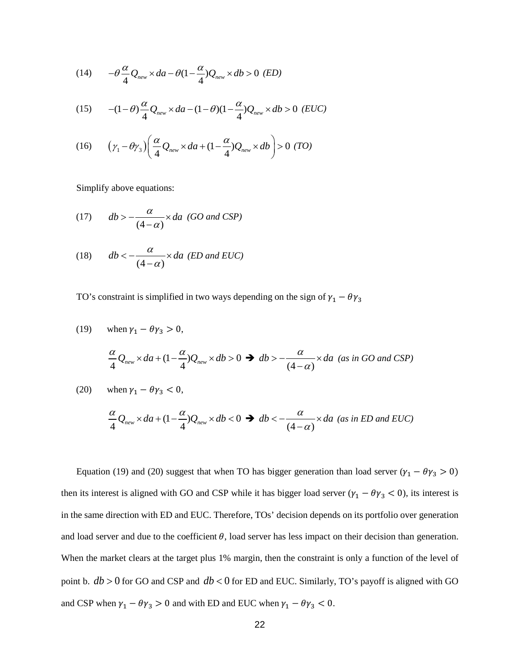(14) 
$$
-\theta \frac{\alpha}{4} Q_{new} \times da - \theta (1 - \frac{\alpha}{4}) Q_{new} \times db > 0 \text{ (ED)}
$$

(15) 
$$
-(1-\theta)\frac{\alpha}{4}Q_{new} \times da - (1-\theta)(1-\frac{\alpha}{4})Q_{new} \times db > 0 \ (EUC)
$$

(16) 
$$
\left(\gamma_1 - \theta \gamma_3\right) \left(\frac{\alpha}{4} Q_{new} \times da + (1 - \frac{\alpha}{4}) Q_{new} \times db\right) > 0 \text{ (TO)}
$$

Simplify above equations:

(17) 
$$
db > -\frac{\alpha}{(4-\alpha)} \times da
$$
 (GO and CSP)

(18) 
$$
db < -\frac{\alpha}{(4-\alpha)} \times da
$$
 (ED and EUC)

TO's constraint is simplified in two ways depending on the sign of  $\gamma_1 - \theta \gamma_3$ 

(19) when 
$$
\gamma_1 - \theta \gamma_3 > 0
$$
,  
\n
$$
\frac{\alpha}{4} Q_{new} \times da + (1 - \frac{\alpha}{4}) Q_{new} \times db > 0 \implies db > -\frac{\alpha}{(4 - \alpha)} \times da \text{ (as in GO and CSP)}
$$
\n(20) when  $\gamma_1 - \theta \gamma_3 < 0$ ,  
\n
$$
\frac{\alpha}{4} Q_{new} \times da + (1 - \frac{\alpha}{4}) Q_{new} \times db < 0 \implies db < -\frac{\alpha}{(4 - \alpha)} \times da \text{ (as in ED and EUC)}
$$

Equation (19) and (20) suggest that when TO has bigger generation than load server ( $\gamma_1 - \theta \gamma_3 > 0$ ) then its interest is aligned with GO and CSP while it has bigger load server ( $\gamma_1 - \theta \gamma_3 < 0$ ), its interest is in the same direction with ED and EUC. Therefore, TOs' decision depends on its portfolio over generation and load server and due to the coefficient  $\theta$ , load server has less impact on their decision than generation. When the market clears at the target plus 1% margin, then the constraint is only a function of the level of point b. *db* > 0 for GO and CSP and *db* < 0 for ED and EUC. Similarly, TO's payoff is aligned with GO and CSP when  $\gamma_1 - \theta \gamma_3 > 0$  and with ED and EUC when  $\gamma_1 - \theta \gamma_3 < 0$ .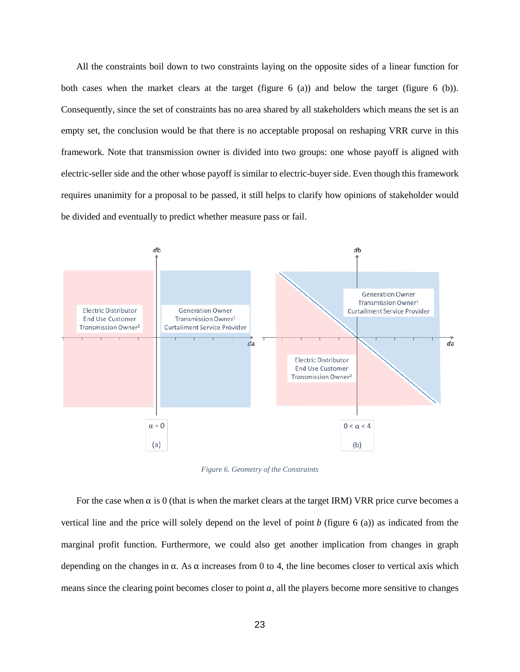All the constraints boil down to two constraints laying on the opposite sides of a linear function for both cases when the market clears at the target (figure 6 (a)) and below the target (figure 6 (b)). Consequently, since the set of constraints has no area shared by all stakeholders which means the set is an empty set, the conclusion would be that there is no acceptable proposal on reshaping VRR curve in this framework. Note that transmission owner is divided into two groups: one whose payoff is aligned with electric-seller side and the other whose payoff is similar to electric-buyer side. Even though this framework requires unanimity for a proposal to be passed, it still helps to clarify how opinions of stakeholder would be divided and eventually to predict whether measure pass or fail.



*Figure 6. Geometry of the Constraints*

For the case when  $\alpha$  is 0 (that is when the market clears at the target IRM) VRR price curve becomes a vertical line and the price will solely depend on the level of point  $b$  (figure 6 (a)) as indicated from the marginal profit function. Furthermore, we could also get another implication from changes in graph depending on the changes in  $\alpha$ . As  $\alpha$  increases from 0 to 4, the line becomes closer to vertical axis which means since the clearing point becomes closer to point  $a$ , all the players become more sensitive to changes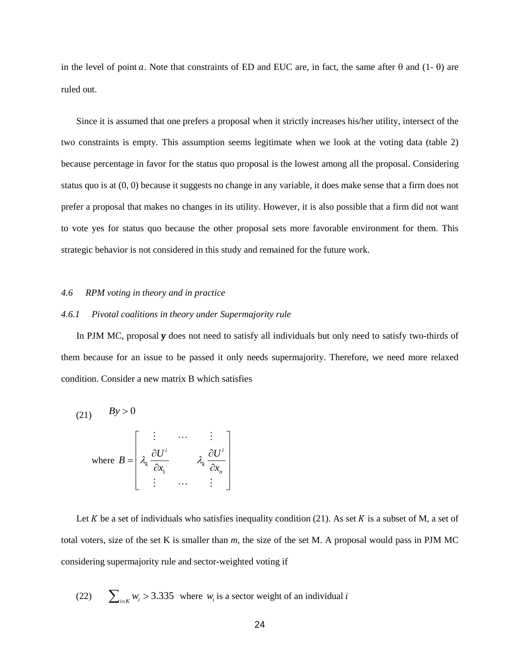in the level of point a. Note that constraints of ED and EUC are, in fact, the same after  $\theta$  and (1- $\theta$ ) are ruled out.

Since it is assumed that one prefers a proposal when it strictly increases his/her utility, intersect of the two constraints is empty. This assumption seems legitimate when we look at the voting data (table 2) because percentage in favor for the status quo proposal is the lowest among all the proposal. Considering status quo is at (0, 0) because it suggests no change in any variable, it does make sense that a firm does not prefer a proposal that makes no changes in its utility. However, it is also possible that a firm did not want to vote yes for status quo because the other proposal sets more favorable environment for them. This strategic behavior is not considered in this study and remained for the future work.

#### *4.6 RPM voting in theory and in practice*

# *4.6.1 Pivotal coalitions in theory under Supermajority rule*

In PJM MC, proposal y does not need to satisfy all individuals but only need to satisfy two-thirds of them because for an issue to be passed it only needs supermajority. Therefore, we need more relaxed condition. Consider a new matrix B which satisfies

(21) 
$$
By > 0
$$
  
where 
$$
B = \begin{bmatrix} \vdots & \cdots & \vdots \\ \lambda_k \frac{\partial U^i}{\partial x_1} & & \lambda_k \frac{\partial U^i}{\partial x_n} \\ \vdots & \cdots & \vdots \end{bmatrix}
$$

Let  $K$  be a set of individuals who satisfies inequality condition (21). As set  $K$  is a subset of M, a set of total voters, size of the set K is smaller than *m,* the size of the set M. A proposal would pass in PJM MC considering supermajority rule and sector-weighted voting if

(22) 
$$
\sum_{i \in K} w_i > 3.335
$$
 where  $w_i$  is a sector weight of an individual *i*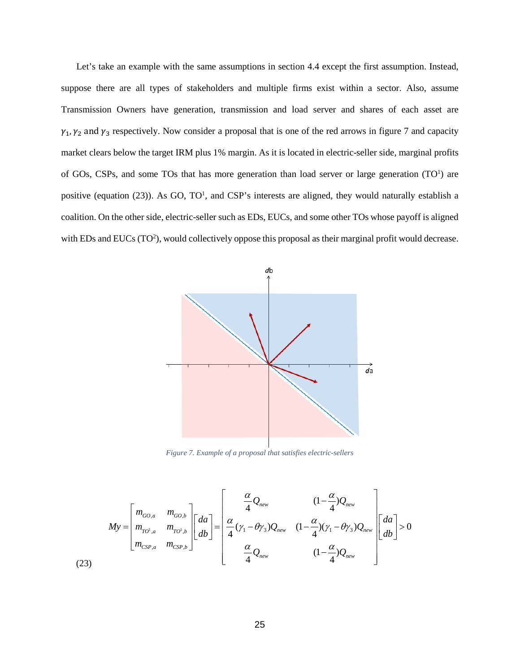Let's take an example with the same assumptions in section 4.4 except the first assumption. Instead, suppose there are all types of stakeholders and multiple firms exist within a sector. Also, assume Transmission Owners have generation, transmission and load server and shares of each asset are  $\gamma_1$ ,  $\gamma_2$  and  $\gamma_3$  respectively. Now consider a proposal that is one of the red arrows in figure 7 and capacity market clears below the target IRM plus 1% margin. As it is located in electric-seller side, marginal profits of GOs, CSPs, and some TOs that has more generation than load server or large generation  $(TO<sup>1</sup>)$  are positive (equation (23)). As GO, TO<sup>1</sup>, and CSP's interests are aligned, they would naturally establish a coalition. On the other side, electric-seller such as EDs, EUCs, and some other TOs whose payoff is aligned with EDs and EUCs  $(TO<sup>2</sup>)$ , would collectively oppose this proposal as their marginal profit would decrease.



*Figure 7. Example of a proposal that satisfies electric-sellers*

$$
My = \begin{bmatrix} m_{_{GO,a}} & m_{_{GO,b}} \\ m_{_{TO^1,a}} & m_{_{TO^1,b}} \\ m_{_{CSP,a}} & m_{_{CSP,b}} \end{bmatrix} \begin{bmatrix} da \\ db \end{bmatrix} = \begin{bmatrix} \frac{\alpha}{4} Q_{_{new}} & (1 - \frac{\alpha}{4}) Q_{_{new}} \\ \frac{\alpha}{4} (\gamma_1 - \theta \gamma_3) Q_{_{new}} & (1 - \frac{\alpha}{4}) (\gamma_1 - \theta \gamma_3) Q_{_{new}} \\ \frac{\alpha}{4} Q_{_{new}} & (1 - \frac{\alpha}{4}) Q_{_{new}} \end{bmatrix} \begin{bmatrix} da \\ db \end{bmatrix} > 0
$$
\n(23)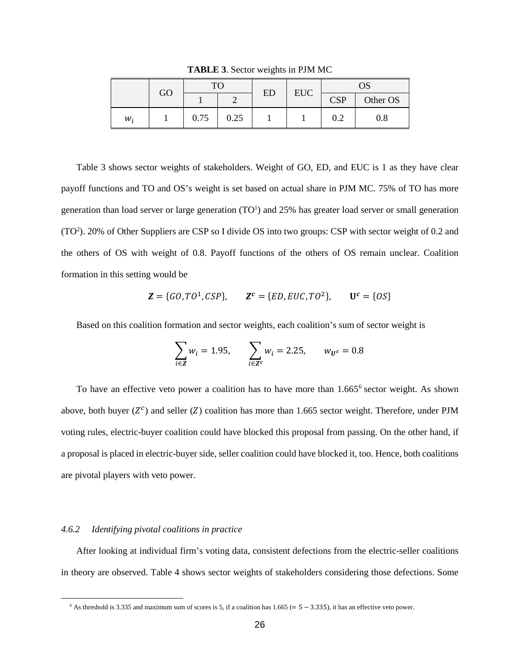| GO | <b>TO</b> |      | <b>ED</b> | <b>EUC</b> | OS         |          |
|----|-----------|------|-----------|------------|------------|----------|
|    |           |      |           |            | <b>CSP</b> | Other OS |
| w, | 0.75      | 0.25 |           |            | 0.2        | 0.8      |

**TABLE 3**. Sector weights in PJM MC

Table 3 shows sector weights of stakeholders. Weight of GO, ED, and EUC is 1 as they have clear payoff functions and TO and OS's weight is set based on actual share in PJM MC. 75% of TO has more generation than load server or large generation  $(TO<sup>1</sup>)$  and 25% has greater load server or small generation (TO<sup>2</sup>). 20% of Other Suppliers are CSP so I divide OS into two groups: CSP with sector weight of 0.2 and the others of OS with weight of 0.8. Payoff functions of the others of OS remain unclear. Coalition formation in this setting would be

$$
Z = \{GO, TO^{1}, CSP\}, \qquad Z^{c} = \{ED, EUC, TO^{2}\}, \qquad U^{c} = \{OS\}
$$

Based on this coalition formation and sector weights, each coalition's sum of sector weight is

$$
\sum_{i \in \mathbf{Z}} w_i = 1.95, \qquad \sum_{i \in \mathbf{Z}^c} w_i = 2.25, \qquad w_{\mathbf{U}^c} = 0.8
$$

To have an effective veto power a coalition has to have more than  $1.665<sup>6</sup>$  sector weight. As shown above, both buyer  $(Z^c)$  and seller  $(Z)$  coalition has more than 1.665 sector weight. Therefore, under PJM voting rules, electric-buyer coalition could have blocked this proposal from passing. On the other hand, if a proposal is placed in electric-buyer side, seller coalition could have blocked it, too. Hence, both coalitions are pivotal players with veto power.

## *4.6.2 Identifying pivotal coalitions in practice*

<span id="page-25-0"></span> $\overline{\phantom{a}}$ 

After looking at individual firm's voting data, consistent defections from the electric-seller coalitions in theory are observed. Table 4 shows sector weights of stakeholders considering those defections. Some

 $6$  As threshold is 3.335 and maximum sum of scores is 5, if a coalition has 1.665 (=  $5 - 3.335$ ), it has an effective veto power.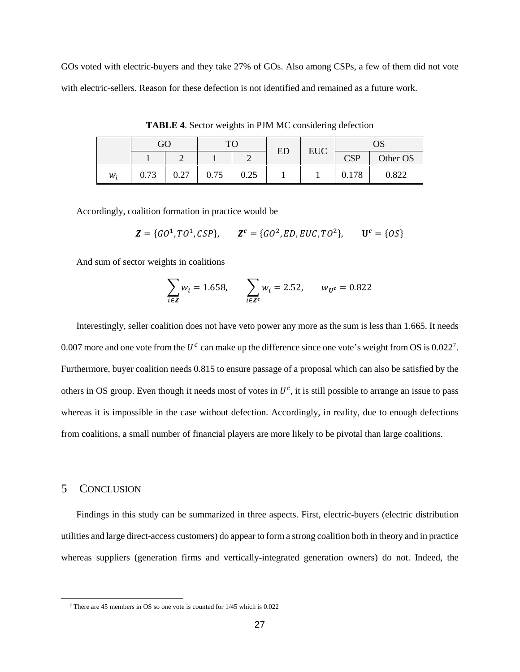GOs voted with electric-buyers and they take 27% of GOs. Also among CSPs, a few of them did not vote with electric-sellers. Reason for these defection is not identified and remained as a future work.

|       | GO   |              | TC   |      | ED | <b>EUC</b> | OS         |          |
|-------|------|--------------|------|------|----|------------|------------|----------|
|       |      |              |      |      |    |            | <b>CSP</b> | Other OS |
| $W_i$ | 0.73 | 0.27<br>U.∠7 | 0.75 | 0.25 |    |            | 0.178      | 0.822    |

**TABLE 4**. Sector weights in PJM MC considering defection

Accordingly, coalition formation in practice would be

$$
\mathbf{Z} = \{GO^1, TO^1, CSP\}, \qquad \mathbf{Z}^c = \{GO^2, ED, EUC, TO^2\}, \qquad \mathbf{U}^c = \{OS\}
$$

And sum of sector weights in coalitions

$$
\sum_{i \in \mathbf{Z}} w_i = 1.658, \qquad \sum_{i \in \mathbf{Z}^c} w_i = 2.52, \qquad w_{\mathbf{U}^c} = 0.822
$$

Interestingly, seller coalition does not have veto power any more as the sum is less than 1.665. It needs 0.00[7](#page-26-0) more and one vote from the  $U^c$  can make up the difference since one vote's weight from OS is 0.022<sup>7</sup>. Furthermore, buyer coalition needs 0.815 to ensure passage of a proposal which can also be satisfied by the others in OS group. Even though it needs most of votes in  $U^c$ , it is still possible to arrange an issue to pass whereas it is impossible in the case without defection. Accordingly, in reality, due to enough defections from coalitions, a small number of financial players are more likely to be pivotal than large coalitions.

## 5 CONCLUSION

<span id="page-26-0"></span> $\overline{a}$ 

Findings in this study can be summarized in three aspects. First, electric-buyers (electric distribution utilities and large direct-access customers) do appear to form a strong coalition both in theory and in practice whereas suppliers (generation firms and vertically-integrated generation owners) do not. Indeed, the

<sup>7</sup> There are 45 members in OS so one vote is counted for 1/45 which is 0.022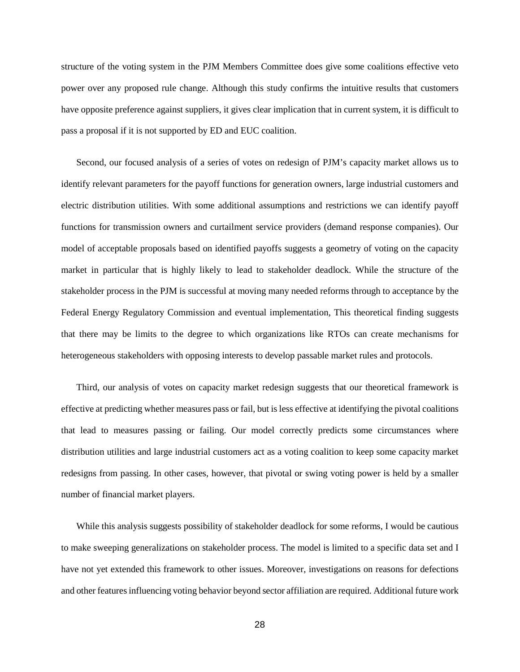structure of the voting system in the PJM Members Committee does give some coalitions effective veto power over any proposed rule change. Although this study confirms the intuitive results that customers have opposite preference against suppliers, it gives clear implication that in current system, it is difficult to pass a proposal if it is not supported by ED and EUC coalition.

Second, our focused analysis of a series of votes on redesign of PJM's capacity market allows us to identify relevant parameters for the payoff functions for generation owners, large industrial customers and electric distribution utilities. With some additional assumptions and restrictions we can identify payoff functions for transmission owners and curtailment service providers (demand response companies). Our model of acceptable proposals based on identified payoffs suggests a geometry of voting on the capacity market in particular that is highly likely to lead to stakeholder deadlock. While the structure of the stakeholder process in the PJM is successful at moving many needed reforms through to acceptance by the Federal Energy Regulatory Commission and eventual implementation, This theoretical finding suggests that there may be limits to the degree to which organizations like RTOs can create mechanisms for heterogeneous stakeholders with opposing interests to develop passable market rules and protocols.

Third, our analysis of votes on capacity market redesign suggests that our theoretical framework is effective at predicting whether measures pass or fail, but is less effective at identifying the pivotal coalitions that lead to measures passing or failing. Our model correctly predicts some circumstances where distribution utilities and large industrial customers act as a voting coalition to keep some capacity market redesigns from passing. In other cases, however, that pivotal or swing voting power is held by a smaller number of financial market players.

While this analysis suggests possibility of stakeholder deadlock for some reforms, I would be cautious to make sweeping generalizations on stakeholder process. The model is limited to a specific data set and I have not yet extended this framework to other issues. Moreover, investigations on reasons for defections and other features influencing voting behavior beyond sector affiliation are required. Additional future work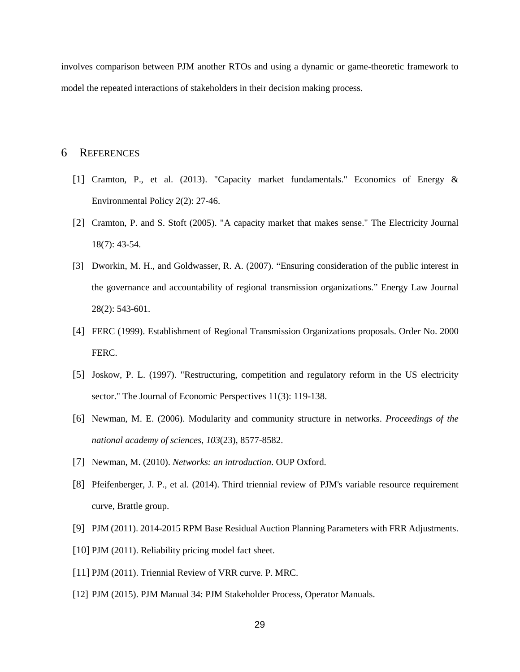involves comparison between PJM another RTOs and using a dynamic or game-theoretic framework to model the repeated interactions of stakeholders in their decision making process.

# 6 REFERENCES

- [1] Cramton, P., et al. (2013). "Capacity market fundamentals." Economics of Energy & Environmental Policy 2(2): 27-46.
- [2] Cramton, P. and S. Stoft (2005). "A capacity market that makes sense." The Electricity Journal 18(7): 43-54.
- [3] Dworkin, M. H., and Goldwasser, R. A. (2007). "Ensuring consideration of the public interest in the governance and accountability of regional transmission organizations." Energy Law Journal 28(2): 543-601.
- [4] FERC (1999). Establishment of Regional Transmission Organizations proposals. Order No. 2000 FERC.
- [5] Joskow, P. L. (1997). "Restructuring, competition and regulatory reform in the US electricity sector." The Journal of Economic Perspectives 11(3): 119-138.
- [6] Newman, M. E. (2006). Modularity and community structure in networks. *Proceedings of the national academy of sciences*, *103*(23), 8577-8582.
- [7] Newman, M. (2010). *Networks: an introduction*. OUP Oxford.
- [8] Pfeifenberger, J. P., et al. (2014). Third triennial review of PJM's variable resource requirement curve, Brattle group.
- [9] PJM (2011). 2014-2015 RPM Base Residual Auction Planning Parameters with FRR Adjustments.
- [10] PJM (2011). Reliability pricing model fact sheet.
- [11] PJM (2011). Triennial Review of VRR curve. P. MRC.
- [12] PJM (2015). PJM Manual 34: PJM Stakeholder Process, Operator Manuals.